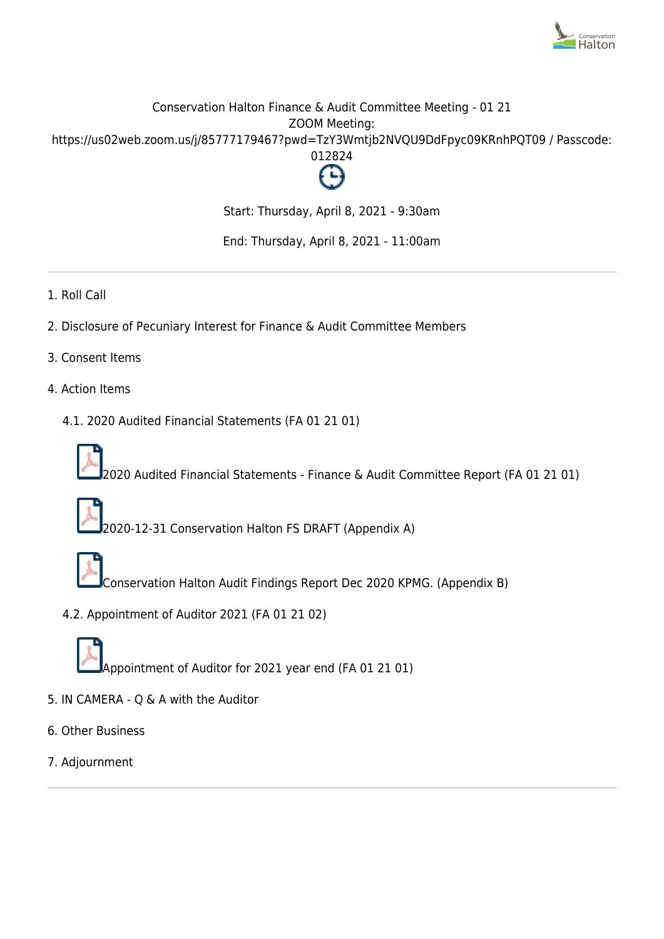

# Conservation Halton Finance & Audit Committee Meeting - 01 21 ZOOM Meeting: https://us02web.zoom.us/j/85777179467?pwd=TzY3Wmtjb2NVQU9DdFpyc09KRnhPQT09 / Passcode: 012824



Start: Thursday, April 8, 2021 - 9:30am

End: Thursday, April 8, 2021 - 11:00am

- 1. Roll Call
- 2. Disclosure of Pecuniary Interest for Finance & Audit Committee Members
- 3. Consent Items
- 4. Action Items
	- 4.1. 2020 Audited Financial Statements (FA 01 21 01)



2020 Audited Financial Statements - Finance & Audit Committee Report (FA 01 21 01)



2020-12-31 Conservation Halton FS DRAFT (Appendix A)



Conservation Halton Audit Findings Report Dec 2020 KPMG. (Appendix B)

4.2. Appointment of Auditor 2021 (FA 01 21 02)



Appointment of Auditor for 2021 year end (FA 01 21 01)

- 5. IN CAMERA Q & A with the Auditor
- 6. Other Business
- 7. Adjournment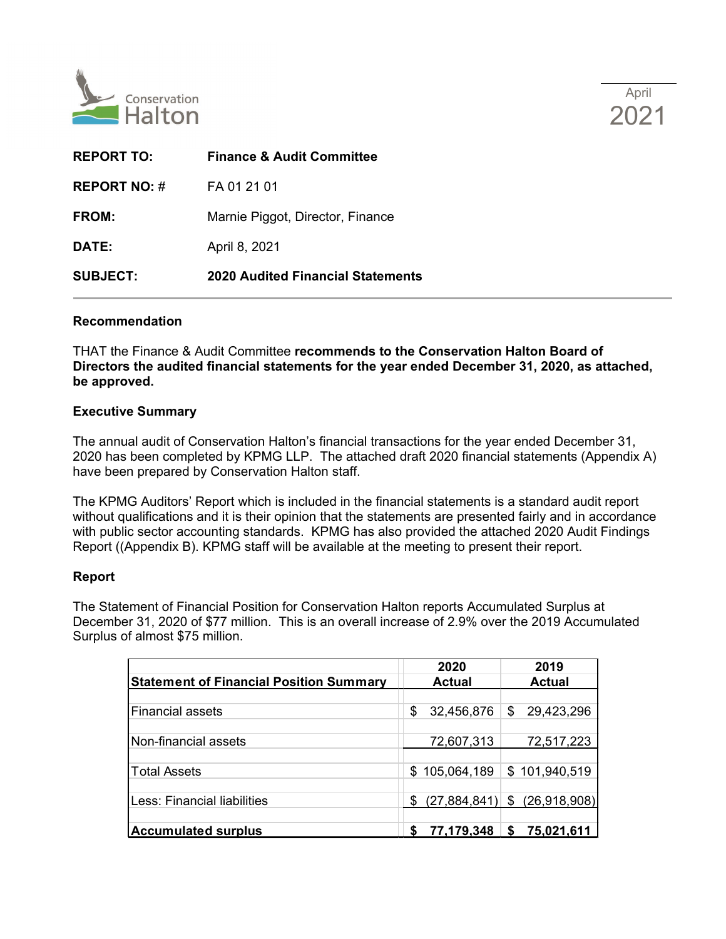

| <b>REPORT TO:</b>   | <b>Finance &amp; Audit Committee</b>     |
|---------------------|------------------------------------------|
| <b>REPORT NO: #</b> | FA 01 21 01                              |
| FROM:               | Marnie Piggot, Director, Finance         |
| <b>DATE:</b>        | April 8, 2021                            |
| <b>SUBJECT:</b>     | <b>2020 Audited Financial Statements</b> |
|                     |                                          |

#### **Recommendation**

THAT the Finance & Audit Committee **recommends to the Conservation Halton Board of Directors the audited financial statements for the year ended December 31, 2020, as attached, be approved.** 

### **Executive Summary**

The annual audit of Conservation Halton's financial transactions for the year ended December 31, 2020 has been completed by KPMG LLP. The attached draft 2020 financial statements (Appendix A) have been prepared by Conservation Halton staff.

The KPMG Auditors' Report which is included in the financial statements is a standard audit report without qualifications and it is their opinion that the statements are presented fairly and in accordance with public sector accounting standards. KPMG has also provided the attached 2020 Audit Findings Report ((Appendix B). KPMG staff will be available at the meeting to present their report.

## **Report**

The Statement of Financial Position for Conservation Halton reports Accumulated Surplus at December 31, 2020 of \$77 million. This is an overall increase of 2.9% over the 2019 Accumulated Surplus of almost \$75 million.

|                                                | 2020             | 2019                             |  |  |
|------------------------------------------------|------------------|----------------------------------|--|--|
| <b>Statement of Financial Position Summary</b> | <b>Actual</b>    | <b>Actual</b>                    |  |  |
|                                                |                  |                                  |  |  |
| <b>Financial assets</b>                        | \$<br>32,456,876 | 29,423,296<br>\$                 |  |  |
|                                                |                  |                                  |  |  |
| Non-financial assets                           | 72,607,313       | 72,517,223                       |  |  |
|                                                |                  |                                  |  |  |
| <b>Total Assets</b>                            | \$105,064,189    | \$101,940,519                    |  |  |
|                                                |                  |                                  |  |  |
| Less: Financial liabilities                    | \$               | $(27,884,841)$ \$ $(26,918,908)$ |  |  |
|                                                |                  |                                  |  |  |
| <b>Accumulated surplus</b>                     | 77,179,348       | 75,021,611<br>S                  |  |  |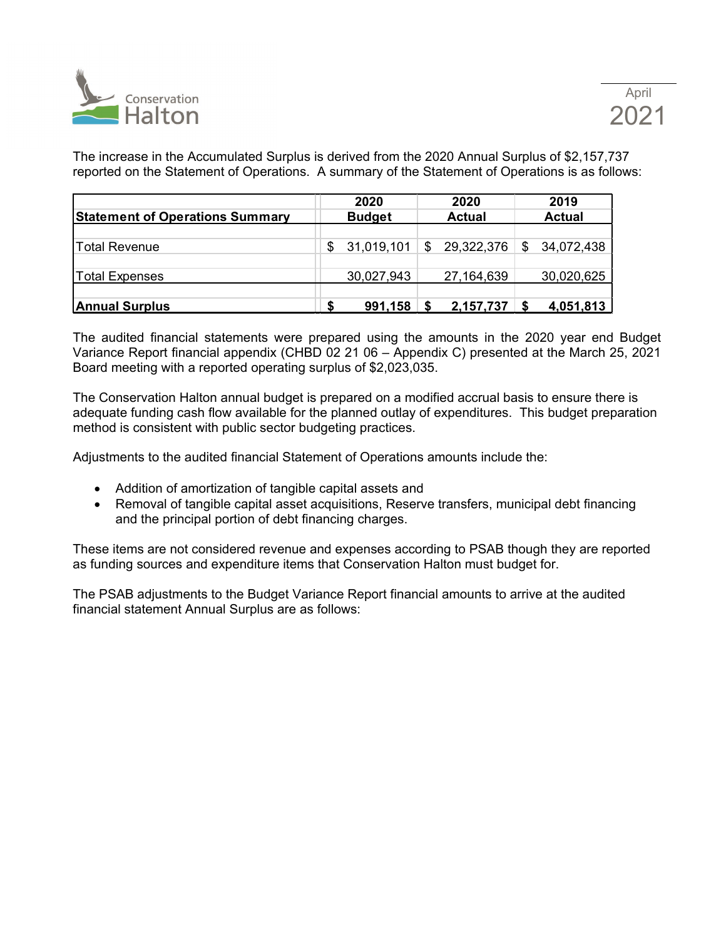

The increase in the Accumulated Surplus is derived from the 2020 Annual Surplus of \$2,157,737 reported on the Statement of Operations. A summary of the Statement of Operations is as follows:

| <b>Statement of Operations Summary</b> |   | 2020<br><b>Budget</b> |   | 2020<br><b>Actual</b> | 2019<br><b>Actual</b> |
|----------------------------------------|---|-----------------------|---|-----------------------|-----------------------|
| <b>Total Revenue</b>                   | S | 31,019,101            | S | 29,322,376            | \$<br>34,072,438      |
| Total Expenses                         |   | 30,027,943            |   | 27,164,639            | 30,020,625            |
| <b>Annual Surplus</b>                  |   | 991,158               |   | 2,157,737             | 4,051,813             |

The audited financial statements were prepared using the amounts in the 2020 year end Budget Variance Report financial appendix (CHBD 02 21 06 – Appendix C) presented at the March 25, 2021 Board meeting with a reported operating surplus of \$2,023,035.

The Conservation Halton annual budget is prepared on a modified accrual basis to ensure there is adequate funding cash flow available for the planned outlay of expenditures. This budget preparation method is consistent with public sector budgeting practices.

Adjustments to the audited financial Statement of Operations amounts include the:

- Addition of amortization of tangible capital assets and
- Removal of tangible capital asset acquisitions, Reserve transfers, municipal debt financing and the principal portion of debt financing charges.

These items are not considered revenue and expenses according to PSAB though they are reported as funding sources and expenditure items that Conservation Halton must budget for.

The PSAB adjustments to the Budget Variance Report financial amounts to arrive at the audited financial statement Annual Surplus are as follows: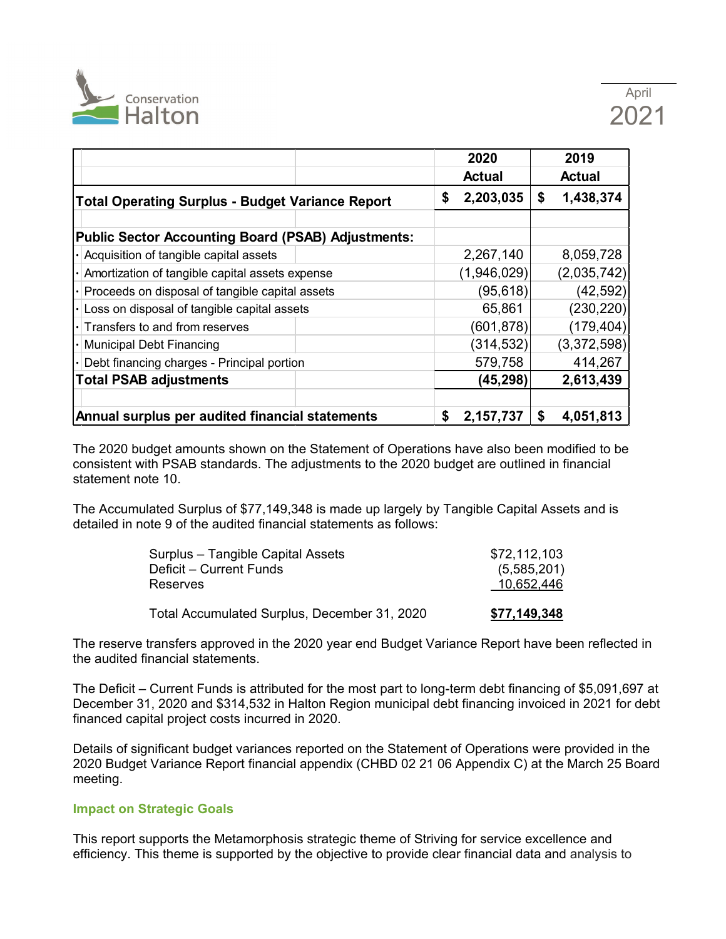

|                                                           | 2020            | 2019            |
|-----------------------------------------------------------|-----------------|-----------------|
|                                                           | <b>Actual</b>   | <b>Actual</b>   |
| <b>Total Operating Surplus - Budget Variance Report</b>   | 2,203,035<br>\$ | 1,438,374<br>\$ |
|                                                           |                 |                 |
| <b>Public Sector Accounting Board (PSAB) Adjustments:</b> |                 |                 |
| Acquisition of tangible capital assets                    | 2,267,140       | 8,059,728       |
| Amortization of tangible capital assets expense           | (1,946,029)     | (2,035,742)     |
| Proceeds on disposal of tangible capital assets           | (95, 618)       | (42, 592)       |
| Loss on disposal of tangible capital assets               | 65,861          | (230, 220)      |
| $\lvert \cdot \rvert$ Transfers to and from reserves      | (601, 878)      | (179, 404)      |
| <b>Municipal Debt Financing</b>                           | (314, 532)      | (3,372,598)     |
| Debt financing charges - Principal portion                | 579,758         | 414,267         |
| <b>Total PSAB adjustments</b>                             | (45, 298)       | 2,613,439       |
|                                                           |                 |                 |
| Annual surplus per audited financial statements           | \$<br>2,157,737 | 4,051,813<br>S  |

The 2020 budget amounts shown on the Statement of Operations have also been modified to be consistent with PSAB standards. The adjustments to the 2020 budget are outlined in financial statement note 10.

The Accumulated Surplus of \$77,149,348 is made up largely by Tangible Capital Assets and is detailed in note 9 of the audited financial statements as follows:

| Surplus – Tangible Capital Assets            | \$72,112,103 |
|----------------------------------------------|--------------|
| Deficit – Current Funds                      | (5,585,201)  |
| Reserves                                     | 10,652,446   |
|                                              |              |
| Total Accumulated Surplus, December 31, 2020 | \$77,149,348 |

The reserve transfers approved in the 2020 year end Budget Variance Report have been reflected in the audited financial statements.

The Deficit – Current Funds is attributed for the most part to long-term debt financing of \$5,091,697 at December 31, 2020 and \$314,532 in Halton Region municipal debt financing invoiced in 2021 for debt financed capital project costs incurred in 2020.

Details of significant budget variances reported on the Statement of Operations were provided in the 2020 Budget Variance Report financial appendix (CHBD 02 21 06 Appendix C) at the March 25 Board meeting.

## **Impact on Strategic Goals**

This report supports the Metamorphosis strategic theme of Striving for service excellence and efficiency. This theme is supported by the objective to provide clear financial data and analysis to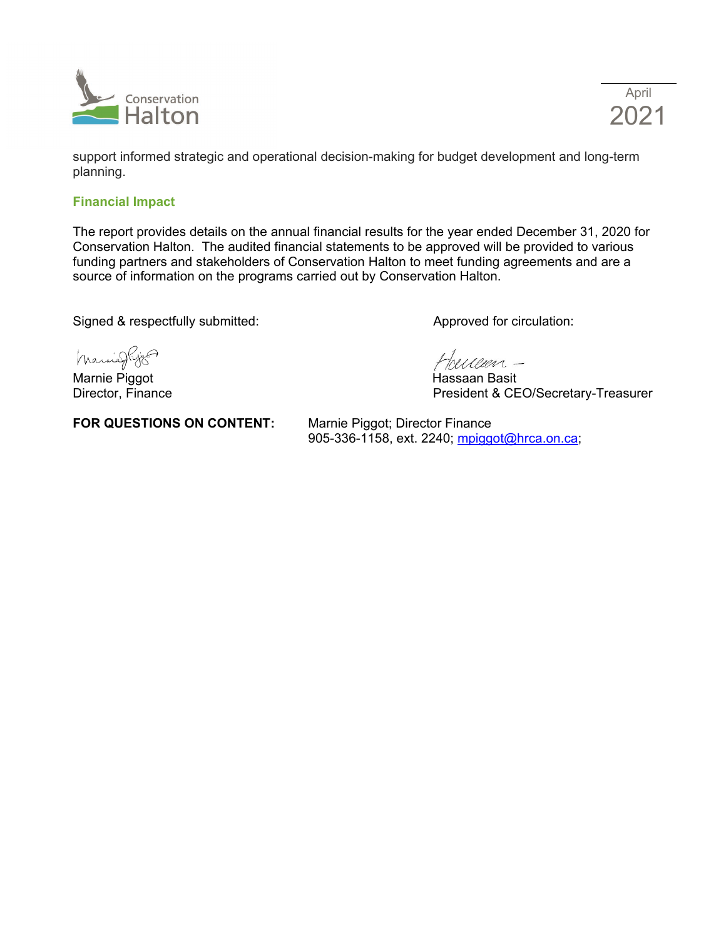

April 2021

support informed strategic and operational decision-making for budget development and long-term planning.

#### **Financial Impact**

The report provides details on the annual financial results for the year ended December 31, 2020 for Conservation Halton. The audited financial statements to be approved will be provided to various funding partners and stakeholders of Conservation Halton to meet funding agreements and are a source of information on the programs carried out by Conservation Halton.

Signed & respectfully submitted: Approved for circulation:

Marrieghjs

Marnie Piggot **Marnie Piggot** Nassaan Basit<br>Director, Finance Nassaan Basit Director, Finance

**FOR QUESTIONS ON CONTENT:** Marnie Piggot; Director Finance

Hoerceen -

President & CEO/Secretary-Treasurer

905-336-1158, ext. 2240; [mpiggot@hrca.on.ca;](mailto:mpiggot@hrca.on.ca)